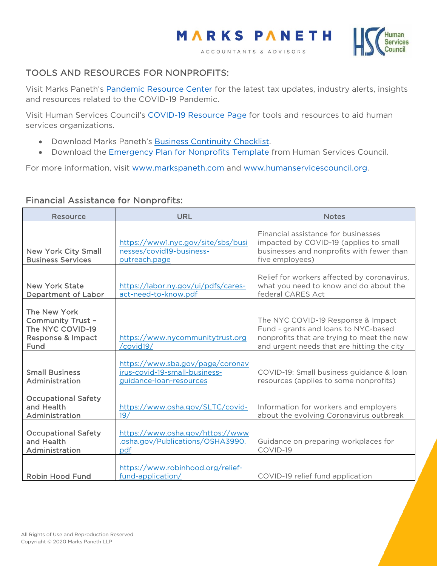



## TOOLS AND RESOURCES FOR NONPROFITS:

Visit Marks Paneth's [Pandemic Resource Center](https://www.markspaneth.com/pandemic-resource-center) for the latest tax updates, industry alerts, insights and resources related to the COVID-19 Pandemic.

Visit Human Services Council's [COVID-19 Resource Page](https://humanservicescouncil.org/covid-19-resources-for-human-services-providers/) for tools and resources to aid human services organizations.

- Download Marks Paneth's [Business Continuity Checklist.](https://cdn2.hubspot.net/hubfs/2640048/Business%20Continuity%20Checklist%20-%20Marks%20Paneth%20LLP.pdf)
- Download the **Emergency Plan for Nonprofits Template** from Human Services Council.

For more information, visit [www.markspaneth.com](http://www.markspaneth.com/) and [www.humanservicescouncil.org.](http://www.humanservicescouncil.org/)

## Financial Assistance for Nonprofits:

| <b>Resource</b>                                                                                      | <b>URL</b>                                                                                   | <b>Notes</b>                                                                                                                                                           |
|------------------------------------------------------------------------------------------------------|----------------------------------------------------------------------------------------------|------------------------------------------------------------------------------------------------------------------------------------------------------------------------|
| <b>New York City Small</b><br><b>Business Services</b>                                               | https://www1.nyc.gov/site/sbs/busi<br>nesses/covid19-business-<br>outreach.page              | Financial assistance for businesses<br>impacted by COVID-19 (applies to small<br>businesses and nonprofits with fewer than<br>five employees)                          |
| <b>New York State</b><br><b>Department of Labor</b>                                                  | https://labor.ny.gov/ui/pdfs/cares-<br>act-need-to-know.pdf                                  | Relief for workers affected by coronavirus,<br>what you need to know and do about the<br>federal CARES Act                                                             |
| The New York<br><b>Community Trust -</b><br>The NYC COVID-19<br><b>Response &amp; Impact</b><br>Fund | https://www.nycommunitytrust.org<br>/covid19/                                                | The NYC COVID-19 Response & Impact<br>Fund - grants and loans to NYC-based<br>nonprofits that are trying to meet the new<br>and urgent needs that are hitting the city |
| <b>Small Business</b><br>Administration                                                              | https://www.sba.gov/page/coronav<br>irus-covid-19-small-business-<br>guidance-loan-resources | COVID-19: Small business guidance & loan<br>resources (applies to some nonprofits)                                                                                     |
| <b>Occupational Safety</b><br>and Health<br>Administration                                           | https://www.osha.gov/SLTC/covid-<br>19/                                                      | Information for workers and employers<br>about the evolving Coronavirus outbreak                                                                                       |
| <b>Occupational Safety</b><br>and Health<br>Administration                                           | https://www.osha.gov/https://www<br>.osha.gov/Publications/OSHA3990.<br>pdf                  | Guidance on preparing workplaces for<br>COVID-19                                                                                                                       |
| <b>Robin Hood Fund</b>                                                                               | https://www.robinhood.org/relief-<br>fund-application/                                       | COVID-19 relief fund application                                                                                                                                       |